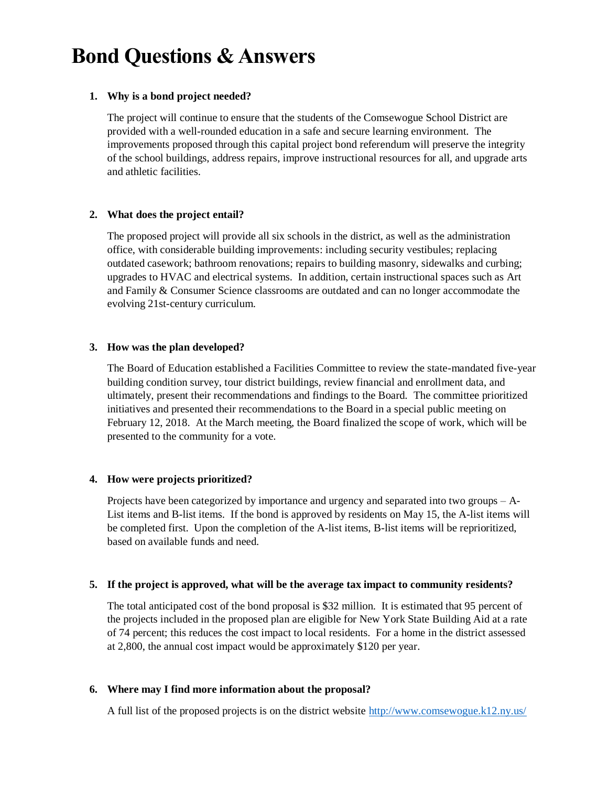# **Bond Questions & Answers**

## **1. Why is a bond project needed?**

The project will continue to ensure that the students of the Comsewogue School District are provided with a well-rounded education in a safe and secure learning environment. The improvements proposed through this capital project bond referendum will preserve the integrity of the school buildings, address repairs, improve instructional resources for all, and upgrade arts and athletic facilities.

# **2. What does the project entail?**

The proposed project will provide all six schools in the district, as well as the administration office, with considerable building improvements: including security vestibules; replacing outdated casework; bathroom renovations; repairs to building masonry, sidewalks and curbing; upgrades to HVAC and electrical systems. In addition, certain instructional spaces such as Art and Family & Consumer Science classrooms are outdated and can no longer accommodate the evolving 21st-century curriculum.

## **3. How was the plan developed?**

The Board of Education established a Facilities Committee to review the state-mandated five-year building condition survey, tour district buildings, review financial and enrollment data, and ultimately, present their recommendations and findings to the Board. The committee prioritized initiatives and presented their recommendations to the Board in a special public meeting on February 12, 2018. At the March meeting, the Board finalized the scope of work, which will be presented to the community for a vote.

## **4. How were projects prioritized?**

Projects have been categorized by importance and urgency and separated into two groups – A-List items and B-list items. If the bond is approved by residents on May 15, the A-list items will be completed first. Upon the completion of the A-list items, B-list items will be reprioritized, based on available funds and need.

## **5. If the project is approved, what will be the average tax impact to community residents?**

The total anticipated cost of the bond proposal is \$32 million. It is estimated that 95 percent of the projects included in the proposed plan are eligible for New York State Building Aid at a rate of 74 percent; this reduces the cost impact to local residents. For a home in the district assessed at 2,800, the annual cost impact would be approximately \$120 per year.

## **6. Where may I find more information about the proposal?**

A full list of the proposed projects is on the district website <http://www.comsewogue.k12.ny.us/>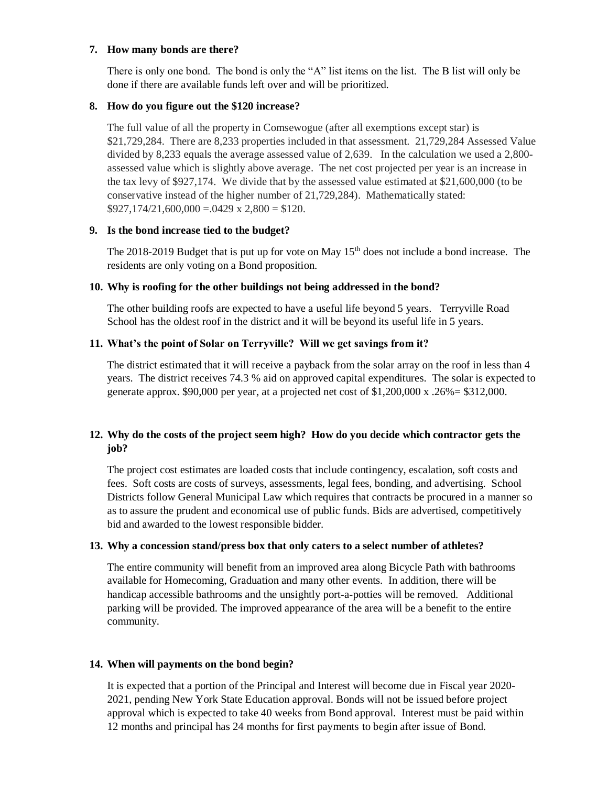#### **7. How many bonds are there?**

There is only one bond. The bond is only the "A" list items on the list. The B list will only be done if there are available funds left over and will be prioritized.

## **8. How do you figure out the \$120 increase?**

The full value of all the property in Comsewogue (after all exemptions except star) is \$21,729,284. There are 8,233 properties included in that assessment. 21,729,284 Assessed Value divided by 8,233 equals the average assessed value of 2,639. In the calculation we used a 2,800 assessed value which is slightly above average. The net cost projected per year is an increase in the tax levy of \$927,174. We divide that by the assessed value estimated at \$21,600,000 (to be conservative instead of the higher number of 21,729,284). Mathematically stated:  $$927,174/21,600,000 = .0429 \times 2,800 = $120.$ 

## **9. Is the bond increase tied to the budget?**

The 2018-2019 Budget that is put up for vote on May  $15<sup>th</sup>$  does not include a bond increase. The residents are only voting on a Bond proposition.

## **10. Why is roofing for the other buildings not being addressed in the bond?**

The other building roofs are expected to have a useful life beyond 5 years. Terryville Road School has the oldest roof in the district and it will be beyond its useful life in 5 years.

## **11. What's the point of Solar on Terryville? Will we get savings from it?**

The district estimated that it will receive a payback from the solar array on the roof in less than 4 years. The district receives 74.3 % aid on approved capital expenditures. The solar is expected to generate approx. \$90,000 per year, at a projected net cost of  $$1,200,000 \times 0.26\% = $312,000$ .

# **12. Why do the costs of the project seem high? How do you decide which contractor gets the job?**

The project cost estimates are loaded costs that include contingency, escalation, soft costs and fees. Soft costs are costs of surveys, assessments, legal fees, bonding, and advertising. School Districts follow General Municipal Law which requires that contracts be procured in a manner so as to assure the prudent and economical use of public funds. Bids are advertised, competitively bid and awarded to the lowest responsible bidder.

## **13. Why a concession stand/press box that only caters to a select number of athletes?**

The entire community will benefit from an improved area along Bicycle Path with bathrooms available for Homecoming, Graduation and many other events. In addition, there will be handicap accessible bathrooms and the unsightly port-a-potties will be removed. Additional parking will be provided. The improved appearance of the area will be a benefit to the entire community.

## **14. When will payments on the bond begin?**

It is expected that a portion of the Principal and Interest will become due in Fiscal year 2020- 2021, pending New York State Education approval. Bonds will not be issued before project approval which is expected to take 40 weeks from Bond approval. Interest must be paid within 12 months and principal has 24 months for first payments to begin after issue of Bond.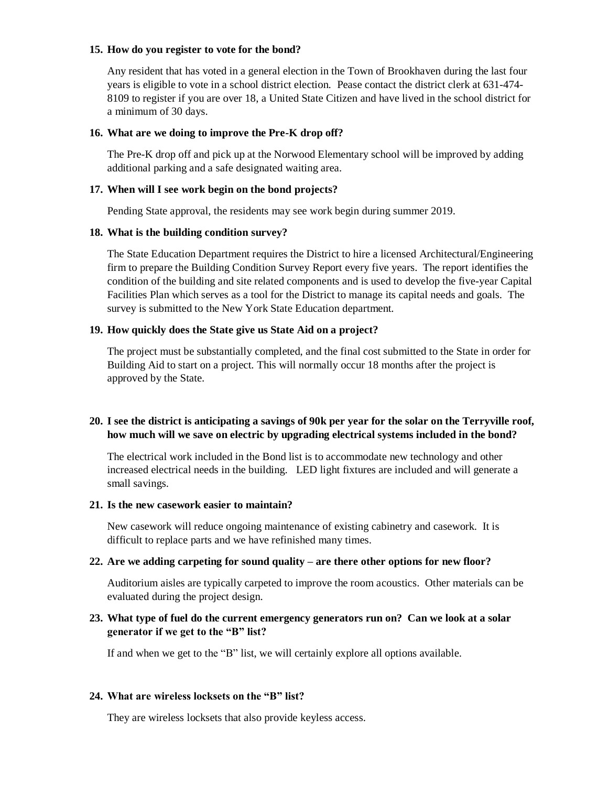## **15. How do you register to vote for the bond?**

Any resident that has voted in a general election in the Town of Brookhaven during the last four years is eligible to vote in a school district election. Pease contact the district clerk at 631-474- 8109 to register if you are over 18, a United State Citizen and have lived in the school district for a minimum of 30 days.

#### **16. What are we doing to improve the Pre-K drop off?**

The Pre-K drop off and pick up at the Norwood Elementary school will be improved by adding additional parking and a safe designated waiting area.

#### **17. When will I see work begin on the bond projects?**

Pending State approval, the residents may see work begin during summer 2019.

#### **18. What is the building condition survey?**

The State Education Department requires the District to hire a licensed Architectural/Engineering firm to prepare the Building Condition Survey Report every five years. The report identifies the condition of the building and site related components and is used to develop the five-year Capital Facilities Plan which serves as a tool for the District to manage its capital needs and goals. The survey is submitted to the New York State Education department.

#### **19. How quickly does the State give us State Aid on a project?**

The project must be substantially completed, and the final cost submitted to the State in order for Building Aid to start on a project. This will normally occur 18 months after the project is approved by the State.

## **20. I see the district is anticipating a savings of 90k per year for the solar on the Terryville roof, how much will we save on electric by upgrading electrical systems included in the bond?**

The electrical work included in the Bond list is to accommodate new technology and other increased electrical needs in the building. LED light fixtures are included and will generate a small savings.

## **21. Is the new casework easier to maintain?**

New casework will reduce ongoing maintenance of existing cabinetry and casework. It is difficult to replace parts and we have refinished many times.

#### **22. Are we adding carpeting for sound quality – are there other options for new floor?**

Auditorium aisles are typically carpeted to improve the room acoustics. Other materials can be evaluated during the project design.

## **23. What type of fuel do the current emergency generators run on? Can we look at a solar generator if we get to the "B" list?**

If and when we get to the "B" list, we will certainly explore all options available.

## **24. What are wireless locksets on the "B" list?**

They are wireless locksets that also provide keyless access.